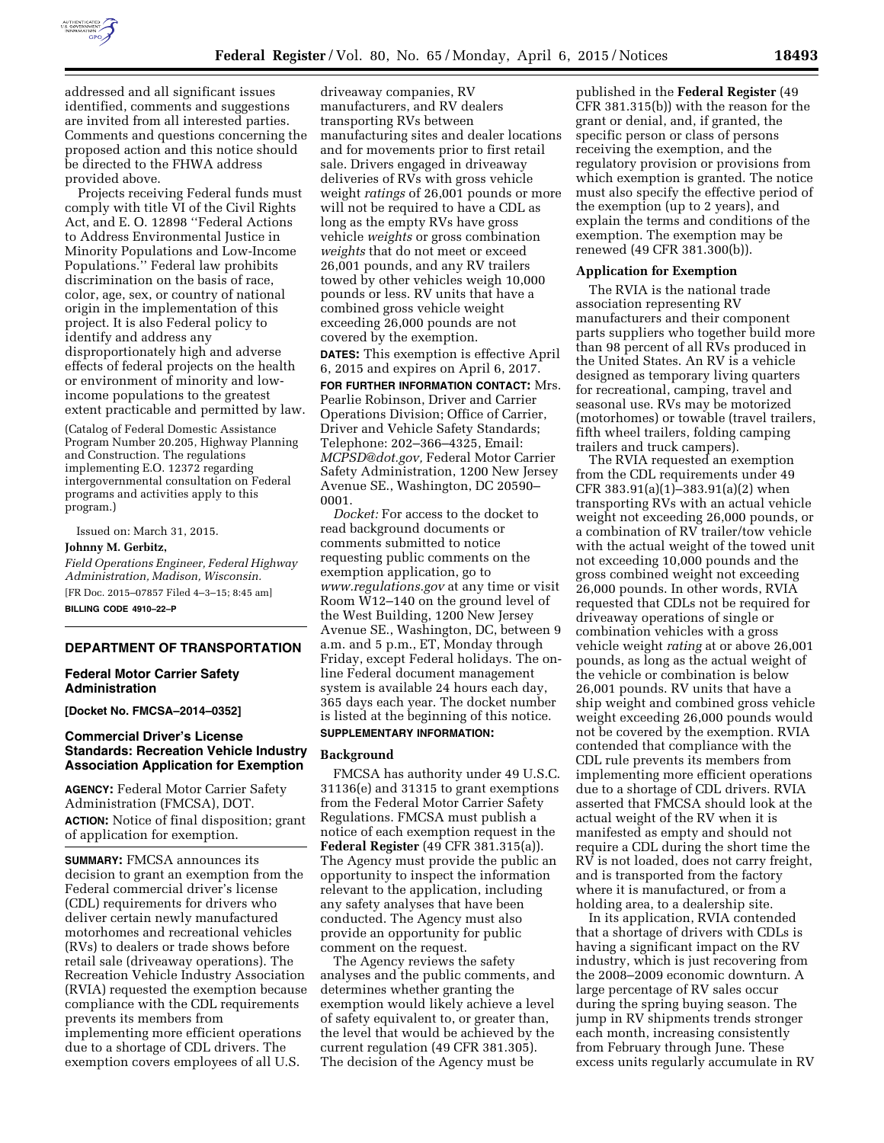

addressed and all significant issues identified, comments and suggestions are invited from all interested parties. Comments and questions concerning the proposed action and this notice should be directed to the FHWA address provided above.

Projects receiving Federal funds must comply with title VI of the Civil Rights Act, and E. O. 12898 ''Federal Actions to Address Environmental Justice in Minority Populations and Low-Income Populations.'' Federal law prohibits discrimination on the basis of race, color, age, sex, or country of national origin in the implementation of this project. It is also Federal policy to identify and address any disproportionately high and adverse effects of federal projects on the health or environment of minority and lowincome populations to the greatest extent practicable and permitted by law.

(Catalog of Federal Domestic Assistance Program Number 20.205, Highway Planning and Construction. The regulations implementing E.O. 12372 regarding intergovernmental consultation on Federal programs and activities apply to this program.)

Issued on: March 31, 2015. **Johnny M. Gerbitz,** 

*Field Operations Engineer, Federal Highway Administration, Madison, Wisconsin.*  [FR Doc. 2015–07857 Filed 4–3–15; 8:45 am] **BILLING CODE 4910–22–P** 

## **DEPARTMENT OF TRANSPORTATION**

## **Federal Motor Carrier Safety Administration**

**[Docket No. FMCSA–2014–0352]** 

# **Commercial Driver's License Standards: Recreation Vehicle Industry Association Application for Exemption**

**AGENCY:** Federal Motor Carrier Safety Administration (FMCSA), DOT. **ACTION:** Notice of final disposition; grant of application for exemption.

**SUMMARY:** FMCSA announces its decision to grant an exemption from the Federal commercial driver's license (CDL) requirements for drivers who deliver certain newly manufactured motorhomes and recreational vehicles (RVs) to dealers or trade shows before retail sale (driveaway operations). The Recreation Vehicle Industry Association (RVIA) requested the exemption because compliance with the CDL requirements prevents its members from implementing more efficient operations due to a shortage of CDL drivers. The exemption covers employees of all U.S.

driveaway companies, RV manufacturers, and RV dealers transporting RVs between manufacturing sites and dealer locations and for movements prior to first retail sale. Drivers engaged in driveaway deliveries of RVs with gross vehicle weight *ratings* of 26,001 pounds or more will not be required to have a CDL as long as the empty RVs have gross vehicle *weights* or gross combination *weights* that do not meet or exceed 26,001 pounds, and any RV trailers towed by other vehicles weigh 10,000 pounds or less. RV units that have a combined gross vehicle weight exceeding 26,000 pounds are not covered by the exemption.

**DATES:** This exemption is effective April 6, 2015 and expires on April 6, 2017. **FOR FURTHER INFORMATION CONTACT:** Mrs.

Pearlie Robinson, Driver and Carrier Operations Division; Office of Carrier, Driver and Vehicle Safety Standards; Telephone: 202–366–4325, Email: *[MCPSD@dot.gov,](mailto:MCPSD@dot.gov)* Federal Motor Carrier Safety Administration, 1200 New Jersey Avenue SE., Washington, DC 20590– 0001.

*Docket:* For access to the docket to read background documents or comments submitted to notice requesting public comments on the exemption application, go to *[www.regulations.gov](http://www.regulations.gov)* at any time or visit Room W12–140 on the ground level of the West Building, 1200 New Jersey Avenue SE., Washington, DC, between 9 a.m. and 5 p.m., ET, Monday through Friday, except Federal holidays. The online Federal document management system is available 24 hours each day, 365 days each year. The docket number is listed at the beginning of this notice. **SUPPLEMENTARY INFORMATION:** 

# **Background**

FMCSA has authority under 49 U.S.C. 31136(e) and 31315 to grant exemptions from the Federal Motor Carrier Safety Regulations. FMCSA must publish a notice of each exemption request in the **Federal Register** (49 CFR 381.315(a)). The Agency must provide the public an opportunity to inspect the information relevant to the application, including any safety analyses that have been conducted. The Agency must also provide an opportunity for public comment on the request.

The Agency reviews the safety analyses and the public comments, and determines whether granting the exemption would likely achieve a level of safety equivalent to, or greater than, the level that would be achieved by the current regulation (49 CFR 381.305). The decision of the Agency must be

published in the **Federal Register** (49 CFR 381.315(b)) with the reason for the grant or denial, and, if granted, the specific person or class of persons receiving the exemption, and the regulatory provision or provisions from which exemption is granted. The notice must also specify the effective period of the exemption (up to 2 years), and explain the terms and conditions of the exemption. The exemption may be renewed (49 CFR 381.300(b)).

## **Application for Exemption**

The RVIA is the national trade association representing RV manufacturers and their component parts suppliers who together build more than 98 percent of all RVs produced in the United States. An RV is a vehicle designed as temporary living quarters for recreational, camping, travel and seasonal use. RVs may be motorized (motorhomes) or towable (travel trailers, fifth wheel trailers, folding camping trailers and truck campers).

The RVIA requested an exemption from the CDL requirements under 49 CFR 383.91(a)(1)–383.91(a)(2) when transporting RVs with an actual vehicle weight not exceeding 26,000 pounds, or a combination of RV trailer/tow vehicle with the actual weight of the towed unit not exceeding 10,000 pounds and the gross combined weight not exceeding 26,000 pounds. In other words, RVIA requested that CDLs not be required for driveaway operations of single or combination vehicles with a gross vehicle weight *rating* at or above 26,001 pounds, as long as the actual weight of the vehicle or combination is below 26,001 pounds. RV units that have a ship weight and combined gross vehicle weight exceeding 26,000 pounds would not be covered by the exemption. RVIA contended that compliance with the CDL rule prevents its members from implementing more efficient operations due to a shortage of CDL drivers. RVIA asserted that FMCSA should look at the actual weight of the RV when it is manifested as empty and should not require a CDL during the short time the RV is not loaded, does not carry freight, and is transported from the factory where it is manufactured, or from a holding area, to a dealership site.

In its application, RVIA contended that a shortage of drivers with CDLs is having a significant impact on the RV industry, which is just recovering from the 2008–2009 economic downturn. A large percentage of RV sales occur during the spring buying season. The jump in RV shipments trends stronger each month, increasing consistently from February through June. These excess units regularly accumulate in RV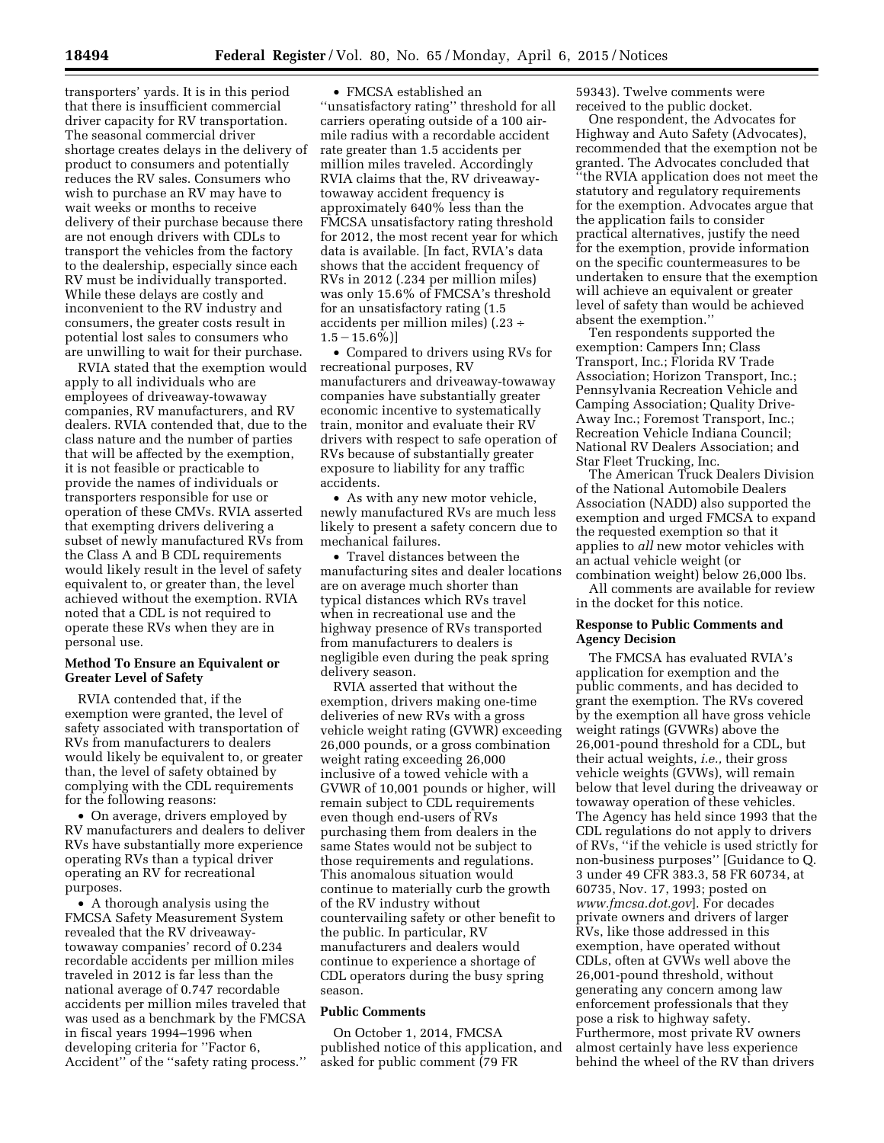transporters' yards. It is in this period that there is insufficient commercial driver capacity for RV transportation. The seasonal commercial driver shortage creates delays in the delivery of product to consumers and potentially reduces the RV sales. Consumers who wish to purchase an RV may have to wait weeks or months to receive delivery of their purchase because there are not enough drivers with CDLs to transport the vehicles from the factory to the dealership, especially since each RV must be individually transported. While these delays are costly and inconvenient to the RV industry and consumers, the greater costs result in potential lost sales to consumers who are unwilling to wait for their purchase.

RVIA stated that the exemption would apply to all individuals who are employees of driveaway-towaway companies, RV manufacturers, and RV dealers. RVIA contended that, due to the class nature and the number of parties that will be affected by the exemption, it is not feasible or practicable to provide the names of individuals or transporters responsible for use or operation of these CMVs. RVIA asserted that exempting drivers delivering a subset of newly manufactured RVs from the Class A and B CDL requirements would likely result in the level of safety equivalent to, or greater than, the level achieved without the exemption. RVIA noted that a CDL is not required to operate these RVs when they are in personal use.

## **Method To Ensure an Equivalent or Greater Level of Safety**

RVIA contended that, if the exemption were granted, the level of safety associated with transportation of RVs from manufacturers to dealers would likely be equivalent to, or greater than, the level of safety obtained by complying with the CDL requirements for the following reasons:

• On average, drivers employed by RV manufacturers and dealers to deliver RVs have substantially more experience operating RVs than a typical driver operating an RV for recreational purposes.

• A thorough analysis using the FMCSA Safety Measurement System revealed that the RV driveawaytowaway companies' record of 0.234 recordable accidents per million miles traveled in 2012 is far less than the national average of 0.747 recordable accidents per million miles traveled that was used as a benchmark by the FMCSA in fiscal years 1994–1996 when developing criteria for ''Factor 6, Accident'' of the ''safety rating process.''

• FMCSA established an ''unsatisfactory rating'' threshold for all carriers operating outside of a 100 airmile radius with a recordable accident rate greater than 1.5 accidents per million miles traveled. Accordingly RVIA claims that the, RV driveawaytowaway accident frequency is approximately 640% less than the FMCSA unsatisfactory rating threshold for 2012, the most recent year for which data is available. [In fact, RVIA's data shows that the accident frequency of RVs in 2012 (.234 per million miles) was only 15.6% of FMCSA's threshold for an unsatisfactory rating (1.5 accidents per million miles) (.23 ÷  $1.5 - 15.6\%$ ]

• Compared to drivers using RVs for recreational purposes, RV manufacturers and driveaway-towaway companies have substantially greater economic incentive to systematically train, monitor and evaluate their RV drivers with respect to safe operation of RVs because of substantially greater exposure to liability for any traffic accidents.

• As with any new motor vehicle, newly manufactured RVs are much less likely to present a safety concern due to mechanical failures.

• Travel distances between the manufacturing sites and dealer locations are on average much shorter than typical distances which RVs travel when in recreational use and the highway presence of RVs transported from manufacturers to dealers is negligible even during the peak spring delivery season.

RVIA asserted that without the exemption, drivers making one-time deliveries of new RVs with a gross vehicle weight rating (GVWR) exceeding 26,000 pounds, or a gross combination weight rating exceeding 26,000 inclusive of a towed vehicle with a GVWR of 10,001 pounds or higher, will remain subject to CDL requirements even though end-users of RVs purchasing them from dealers in the same States would not be subject to those requirements and regulations. This anomalous situation would continue to materially curb the growth of the RV industry without countervailing safety or other benefit to the public. In particular, RV manufacturers and dealers would continue to experience a shortage of CDL operators during the busy spring season.

## **Public Comments**

On October 1, 2014, FMCSA published notice of this application, and asked for public comment (79 FR

59343). Twelve comments were received to the public docket.

One respondent, the Advocates for Highway and Auto Safety (Advocates), recommended that the exemption not be granted. The Advocates concluded that ''the RVIA application does not meet the statutory and regulatory requirements for the exemption. Advocates argue that the application fails to consider practical alternatives, justify the need for the exemption, provide information on the specific countermeasures to be undertaken to ensure that the exemption will achieve an equivalent or greater level of safety than would be achieved absent the exemption.''

Ten respondents supported the exemption: Campers Inn; Class Transport, Inc.; Florida RV Trade Association; Horizon Transport, Inc.; Pennsylvania Recreation Vehicle and Camping Association; Quality Drive-Away Inc.; Foremost Transport, Inc.; Recreation Vehicle Indiana Council; National RV Dealers Association; and Star Fleet Trucking, Inc.

The American Truck Dealers Division of the National Automobile Dealers Association (NADD) also supported the exemption and urged FMCSA to expand the requested exemption so that it applies to *all* new motor vehicles with an actual vehicle weight (or

combination weight) below 26,000 lbs. All comments are available for review in the docket for this notice.

## **Response to Public Comments and Agency Decision**

The FMCSA has evaluated RVIA's application for exemption and the public comments, and has decided to grant the exemption. The RVs covered by the exemption all have gross vehicle weight ratings (GVWRs) above the 26,001-pound threshold for a CDL, but their actual weights, *i.e.,* their gross vehicle weights (GVWs), will remain below that level during the driveaway or towaway operation of these vehicles. The Agency has held since 1993 that the CDL regulations do not apply to drivers of RVs, ''if the vehicle is used strictly for non-business purposes'' [Guidance to Q. 3 under 49 CFR 383.3, 58 FR 60734, at 60735, Nov. 17, 1993; posted on *[www.fmcsa.dot.gov](http://www.fmcsa.dot.gov)*]. For decades private owners and drivers of larger RVs, like those addressed in this exemption, have operated without CDLs, often at GVWs well above the 26,001-pound threshold, without generating any concern among law enforcement professionals that they pose a risk to highway safety. Furthermore, most private RV owners almost certainly have less experience behind the wheel of the RV than drivers